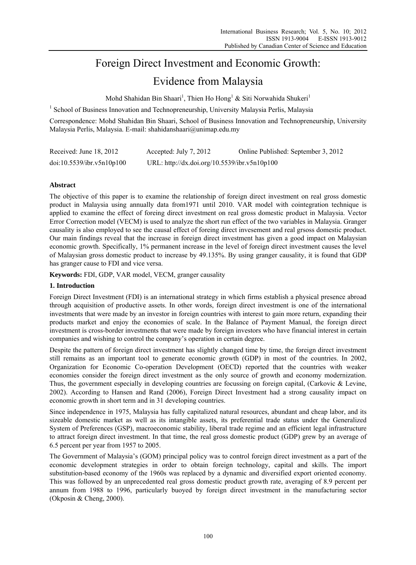# Foreign Direct Investment and Economic Growth:

## Evidence from Malaysia

Mohd Shahidan Bin Shaari<sup>1</sup>, Thien Ho Hong<sup>1</sup> & Siti Norwahida Shukeri<sup>1</sup>

<sup>1</sup> School of Business Innovation and Technopreneurship, University Malaysia Perlis, Malaysia

Correspondence: Mohd Shahidan Bin Shaari, School of Business Innovation and Technopreneurship, University Malaysia Perlis, Malaysia. E-mail: shahidanshaari@unimap.edu.my

| Received: June 18, 2012   | Accepted: July 7, 2012                       | Online Published: September 3, 2012 |
|---------------------------|----------------------------------------------|-------------------------------------|
| doi:10.5539/ibr.v5n10p100 | URL: http://dx.doi.org/10.5539/ibr.v5n10p100 |                                     |

## **Abstract**

The objective of this paper is to examine the relationship of foreign direct investment on real gross domestic product in Malaysia using annually data from1971 until 2010. VAR model with cointegration technique is applied to examine the effect of foreing direct investment on real gross domestic product in Malaysia. Vector Error Correction model (VECM) is used to analyze the short run effect of the two variables in Malaysia. Granger causality is also employed to see the causal effect of foreing direct invesement and real grsoss domestic product. Our main findings reveal that the increase in foreign direct investment has given a good impact on Malaysian economic growth. Specifically, 1% permanent increase in the level of foreign direct investment causes the level of Malaysian gross domestic product to increase by 49.135%. By using granger causality, it is found that GDP has granger cause to FDI and vice versa.

**Keywords:** FDI, GDP, VAR model, VECM, granger causality

## **1. Introduction**

Foreign Direct Investment (FDI) is an international strategy in which firms establish a physical presence abroad through acquisition of productive assets. In other words, foreign direct investment is one of the international investments that were made by an investor in foreign countries with interest to gain more return, expanding their products market and enjoy the economies of scale. In the Balance of Payment Manual, the foreign direct investment is cross-border investments that were made by foreign investors who have financial interest in certain companies and wishing to control the company's operation in certain degree.

Despite the pattern of foreign direct investment has slightly changed time by time, the foreign direct investment still remains as an important tool to generate economic growth (GDP) in most of the countries. In 2002, Organization for Economic Co-operation Development (OECD) reported that the countries with weaker economies consider the foreign direct investment as the only source of growth and economy modernization. Thus, the government especially in developing countries are focussing on foreign capital, (Carkovic & Levine, 2002). According to Hansen and Rand (2006), Foreign Direct Investment had a strong causality impact on economic growth in short term and in 31 developing countries.

Since independence in 1975, Malaysia has fully capitalized natural resources, abundant and cheap labor, and its sizeable domestic market as well as its intangible assets, its preferential trade status under the Generalized System of Preferences (GSP), macroeconomic stability, liberal trade regime and an efficient legal infrastructure to attract foreign direct investment. In that time, the real gross domestic product (GDP) grew by an average of 6.5 percent per year from 1957 to 2005.

The Government of Malaysia's (GOM) principal policy was to control foreign direct investment as a part of the economic development strategies in order to obtain foreign technology, capital and skills. The import substitution-based economy of the 1960s was replaced by a dynamic and diversified export oriented economy. This was followed by an unprecedented real gross domestic product growth rate, averaging of 8.9 percent per annum from 1988 to 1996, particularly buoyed by foreign direct investment in the manufacturing sector (Okposin & Cheng, 2000).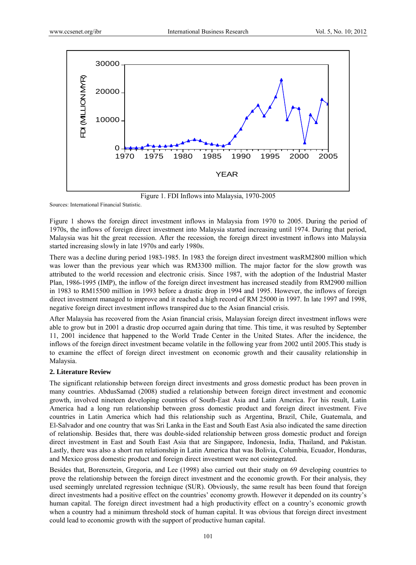

Figure 1. FDI Inflows into Malaysia, 1970-2005

Sources: International Financial Statistic.

Figure 1 shows the foreign direct investment inflows in Malaysia from 1970 to 2005. During the period of 1970s, the inflows of foreign direct investment into Malaysia started increasing until 1974. During that period, Malaysia was hit the great recession. After the recession, the foreign direct investment inflows into Malaysia started increasing slowly in late 1970s and early 1980s.

There was a decline during period 1983-1985. In 1983 the foreign direct investment wasRM2800 million which was lower than the previous year which was RM3300 million. The major factor for the slow growth was attributed to the world recession and electronic crisis. Since 1987, with the adoption of the Industrial Master Plan, 1986-1995 (IMP), the inflow of the foreign direct investment has increased steadily from RM2900 million in 1983 to RM15500 million in 1993 before a drastic drop in 1994 and 1995. However, the inflows of foreign direct investment managed to improve and it reached a high record of RM 25000 in 1997. In late 1997 and 1998, negative foreign direct investment inflows transpired due to the Asian financial crisis.

After Malaysia has recovered from the Asian financial crisis, Malaysian foreign direct investment inflows were able to grow but in 2001 a drastic drop occurred again during that time. This time, it was resulted by September 11, 2001 incidence that happened to the World Trade Center in the United States. After the incidence, the inflows of the foreign direct investment became volatile in the following year from 2002 until 2005.This study is to examine the effect of foreign direct investment on economic growth and their causality relationship in Malaysia.

## **2. Literature Review**

The significant relationship between foreign direct investments and gross domestic product has been proven in many countries. AbdusSamad (2008) studied a relationship between foreign direct investment and economic growth, involved nineteen developing countries of South-East Asia and Latin America. For his result, Latin America had a long run relationship between gross domestic product and foreign direct investment. Five countries in Latin America which had this relationship such as Argentina, Brazil, Chile, Guatemala, and El-Salvador and one country that was Sri Lanka in the East and South East Asia also indicated the same direction of relationship. Besides that, there was double-sided relationship between gross domestic product and foreign direct investment in East and South East Asia that are Singapore, Indonesia, India, Thailand, and Pakistan. Lastly, there was also a short run relationship in Latin America that was Bolivia, Columbia, Ecuador, Honduras, and Mexico gross domestic product and foreign direct investment were not cointegrated.

Besides that, Borensztein, Gregoria, and Lee (1998) also carried out their study on 69 developing countries to prove the relationship between the foreign direct investment and the economic growth. For their analysis, they used seemingly unrelated regression technique (SUR). Obviously, the same result has been found that foreign direct investments had a positive effect on the countries' economy growth. However it depended on its country's human capital. The foreign direct investment had a high productivity effect on a country's economic growth when a country had a minimum threshold stock of human capital. It was obvious that foreign direct investment could lead to economic growth with the support of productive human capital.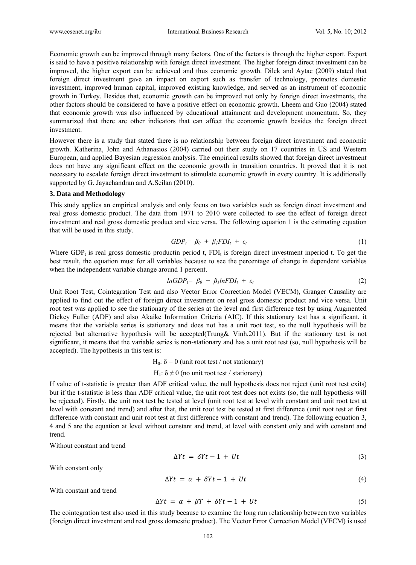Economic growth can be improved through many factors. One of the factors is through the higher export. Export is said to have a positive relationship with foreign direct investment. The higher foreign direct investment can be improved, the higher export can be achieved and thus economic growth. Dilek and Aytac (2009) stated that foreign direct investment gave an impact on export such as transfer of technology, promotes domestic investment, improved human capital, improved existing knowledge, and served as an instrument of economic growth in Turkey. Besides that, economic growth can be improved not only by foreign direct investments, the other factors should be considered to have a positive effect on economic growth. Lheem and Guo (2004) stated that economic growth was also influenced by educational attainment and development momentum. So, they summarized that there are other indicators that can affect the economic growth besides the foreign direct investment.

However there is a study that stated there is no relationship between foreign direct investment and economic growth. Katherina, John and Athanasios (2004) carried out their study on 17 countries in US and Western European, and applied Bayesian regression analysis. The empirical results showed that foreign direct investment does not have any significant effect on the economic growth in transition countries. It proved that it is not necessary to escalate foreign direct investment to stimulate economic growth in every country. It is additionally supported by G. Jayachandran and A.Seilan (2010).

#### **3. Data and Methodology**

This study applies an empirical analysis and only focus on two variables such as foreign direct investment and real gross domestic product. The data from 1971 to 2010 were collected to see the effect of foreign direct investment and real gross domestic product and vice versa. The following equation 1 is the estimating equation that will be used in this study.

$$
GDP_t = \beta_0 + \beta_1 FDI_t + \varepsilon_t \tag{1}
$$

Where GDP<sub>t</sub> is real gross domestic productin period t,  $FDI<sub>t</sub>$  is foreign direct investment inperiod t. To get the best result, the equation must for all variables because to see the percentage of change in dependent variables when the independent variable change around 1 percent.

$$
lnGDP_t = \beta_0 + \beta_1 lnFDI_t + \varepsilon_t \tag{2}
$$

Unit Root Test, Cointegration Test and also Vector Error Correction Model (VECM), Granger Causality are applied to find out the effect of foreign direct investment on real gross domestic product and vice versa. Unit root test was applied to see the stationary of the series at the level and first difference test by using Augmented Dickey Fuller (ADF) and also Akaike Information Criteria (AIC). If this stationary test has a significant, it means that the variable series is stationary and does not has a unit root test, so the null hypothesis will be rejected but alternative hypothesis will be accepted(Trung& Vinh,2011). But if the stationary test is not significant, it means that the variable series is non-stationary and has a unit root test (so, null hypothesis will be accepted). The hypothesis in this test is:

H<sub>0</sub>:  $δ = 0$  (unit root test / not stationary)

#### H<sub>1</sub>: δ  $\neq$  0 (no unit root test / stationary)

If value of t-statistic is greater than ADF critical value, the null hypothesis does not reject (unit root test exits) but if the t-statistic is less than ADF critical value, the unit root test does not exists (so, the null hypothesis will be rejected). Firstly, the unit root test be tested at level (unit root test at level with constant and unit root test at level with constant and trend) and after that, the unit root test be tested at first difference (unit root test at first difference with constant and unit root test at first difference with constant and trend). The following equation 3, 4 and 5 are the equation at level without constant and trend, at level with constant only and with constant and trend.

Without constant and trend

$$
\Delta Yt = \delta Yt - 1 + Ut \tag{3}
$$

With constant only

$$
\Delta Yt = \alpha + \delta Yt - 1 + Ut \tag{4}
$$

With constant and trend

$$
\Delta Yt = \alpha + \beta T + \delta Yt - 1 + Ut \tag{5}
$$

The cointegration test also used in this study because to examine the long run relationship between two variables (foreign direct investment and real gross domestic product). The Vector Error Correction Model (VECM) is used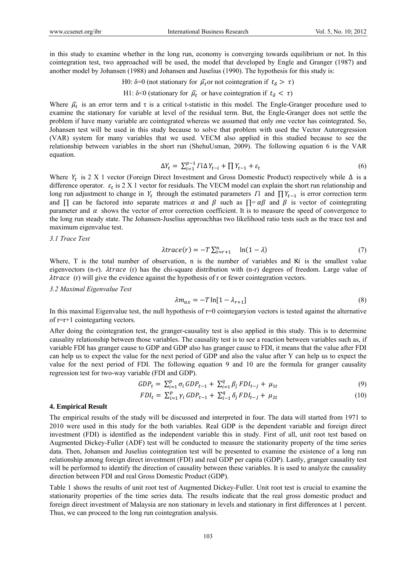in this study to examine whether in the long run, economy is converging towards equilibrium or not. In this cointegration test, two approached will be used, the model that developed by Engle and Granger (1987) and another model by Johansen (1988) and Johansen and Juselius (1990). The hypothesis for this study is:

> H0: δ=0 (not stationary for  $\hat{\mu}_t$  or not cointegration if  $t_\delta > \tau$ ) H1: δ<0 (stationary for  $\hat{\mu}_t$  or have cointegration if  $t_\delta < \tau$ )

Where  $\hat{\mu}_t$  is an error term and  $\tau$  is a critical t-statistic in this model. The Engle-Granger procedure used to examine the stationary for variable at level of the residual term. But, the Engle-Granger does not settle the problem if have many variable are cointegrated whereas we assumed that only one vector has cointegrated. So, Johansen test will be used in this study because to solve that problem with used the Vector Autoregression (VAR) system for many variables that we used. VECM also applied in this studied because to see the relationship between variables in the short run (ShehuUsman, 2009). The following equation 6 is the VAR equation.

$$
\Delta Y_t = \sum_{i=1}^{p-1} \Gamma_i \Delta Y_{t-i} + \prod Y_{t-1} + \varepsilon_t \tag{6}
$$

Where  $Y_t$  is 2 X 1 vector (Foreign Direct Investment and Gross Domestic Product) respectively while  $\Delta$  is a difference operator.  $\varepsilon_t$  is 2 X 1 vector for residuals. The VECM model can explain the short run relationship and long run adjustment to change in  $Y_t$  through the estimated parameters *Γ*<u></u> and  $\prod Y_{t-1}$  is error correction term and ∏ can be factored into separate matrices  $\alpha$  and  $\beta$  such as  $\Box = \alpha \beta$  and  $\beta$  is vector of cointegrating parameter and  $\alpha$  shows the vector of error correction coefficient. It is to measure the speed of convergence to the long run steady state. The Johansen-Juselius approachhas two likelihood ratio tests such as the trace test and maximum eigenvalue test.

#### *3.1 Trace Test*

$$
\lambda trace(r) = -T \sum_{t=r+1}^{n} \quad \ln(1-\lambda) \tag{7}
$$

Where, T is the total number of observation, n is the number of variables and  $\aleph i$  is the smallest value eigenvectors (n-r).  $\lambda trace$  (r) has the chi-square distribution with (n-r) degrees of freedom. Large value of  $\lambda trace$  (r) will give the evidence against the hypothesis of r or fewer cointegration vectors.

#### *3.2 Maximal Eigenvalue Test*

$$
\lambda m_{ax} = -T \ln[1 - \lambda_{r+1}] \tag{8}
$$

In this maximal Eigenvalue test, the null hypothesis of r=0 cointegaryion vectors is tested against the alternative of r=r+1 cointegarting vectors.

After doing the cointegration test, the granger-causality test is also applied in this study. This is to determine causality relationship between those variables. The causality test is to see a reaction between variables such as, if variable FDI has granger cause to GDP and GDP also has granger cause to FDI, it means that the value after FDI can help us to expect the value for the next period of GDP and also the value after Y can help us to expect the value for the next period of FDI. The following equation 9 and 10 are the formula for granger causality regression test for two-way variable (FDI and GDP).

$$
GDP_t = \sum_{i=1}^p \sigma_i \, GDP_{t-1} + \sum_{i=1}^q \beta_j \, FDI_{t-j} + \mu_{1t} \tag{9}
$$

$$
FDI_t = \sum_{i=1}^p \gamma_i \, GDP_{t-1} + \sum_{i=1}^q \delta_j \, FDI_{t-j} + \mu_{2t} \tag{10}
$$

#### **4. Empirical Result**

The empirical results of the study will be discussed and interpreted in four. The data will started from 1971 to 2010 were used in this study for the both variables. Real GDP is the dependent variable and foreign direct investment (FDI) is identified as the independent variable this in study. First of all, unit root test based on Augmented Dickey-Fuller (ADF) test will be conducted to measure the stationarity property of the time series data. Then, Johansen and Juselius cointegration test will be presented to examine the existence of a long run relationship among foreign direct investment (FDI) and real GDP per capita (GDP). Lastly, granger causality test will be performed to identify the direction of causality between these variables. It is used to analyze the causality direction between FDI and real Gross Domestic Product (GDP).

Table 1 shows the results of unit root test of Augmented Dickey-Fuller. Unit root test is crucial to examine the stationarity properties of the time series data. The results indicate that the real gross domestic product and foreign direct investment of Malaysia are non stationary in levels and stationary in first differences at 1 percent. Thus, we can proceed to the long run cointegration analysis.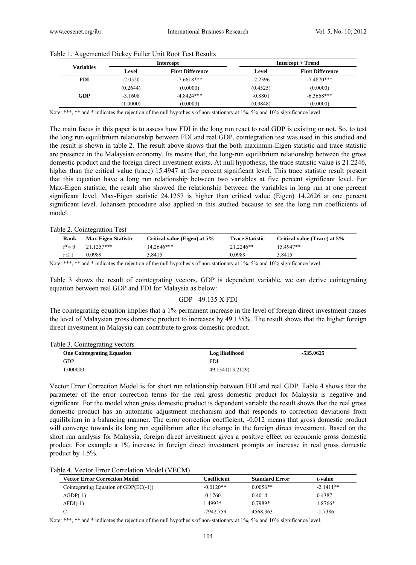|            | Intercept |                         | <b>Intercept + Trend</b> |                         |
|------------|-----------|-------------------------|--------------------------|-------------------------|
| Variables  | Level     | <b>First Difference</b> | Level                    | <b>First Difference</b> |
| <b>FDI</b> | $-2.0520$ | $-7.6618***$            | $-2.2396$                | $-7.4870***$            |
|            | (0.2644)  | (0.0000)                | (0.4525)                 | (0.0000)                |
| GDP        | $-3.1608$ | $-4.8424***$            | $-0.8801$                | $-6.3668***$            |
|            | (1.0000)  | (0.0003)                | (0.9848)                 | (0.0000)                |

| Table 1. Augemented Dickey Fuller Unit Root Test Results |  |  |
|----------------------------------------------------------|--|--|
|                                                          |  |  |

Note: \*\*\*, \*\* and \* indicates the rejection of the null hypothesis of non-stationary at 1%, 5% and 10% significance level.

The main focus in this paper is to assess how FDI in the long run react to real GDP is existing or not. So, to test the long run equilibrium relationship between FDI and real GDP, cointegration test was used in this studied and the result is shown in table 2. The result above shows that the both maximum-Eigen statistic and trace statistic are presence in the Malaysian economy. Its means that, the long-run equilibrium relationship between the gross domestic product and the foreign direct investment exists. At null hypothesis, the trace statistic value is 21.2246, higher than the critical value (trace) 15.4947 at five percent significant level. This trace statistic result present that this equation have a long run relationship between two variables at five percent significant level. For Max-Eigen statistic, the result also showed the relationship between the variables in long run at one percent significant level. Max-Eigen statistic 24,1257 is higher than critical value (Eigen) 14.2626 at one percent significant level. Johansen procedure also applied in this studied because to see the long run coefficients of model.

#### Table 2. Cointegration Test

| <b>Rank</b> | <b>Max-Eigen Statistic</b> | Critical value (Eigen) at 5% | <b>Trace Statistic</b> | Critical value (Trace) at 5% |
|-------------|----------------------------|------------------------------|------------------------|------------------------------|
| $r^* = 0$   | 21 1257***                 | 14.2646***                   | 21.2246**              | 15 4947**                    |
| $r \leq 1$  | 0.0989                     | 3.8415                       | 0.0989                 | 3.8415                       |

Note: \*\*\*, \*\* and \* indicates the rejection of the null hypothesis of non-stationary at 1%, 5% and 10% significance level.

Table 3 shows the result of cointegrating vectors, GDP is dependent variable, we can derive cointegrating equation between real GDP and FDI for Malaysia as below:

#### GDP= 49.135 X FDI

The cointegrating equation implies that a 1% permanent increase in the level of foreign direct investment causes the level of Malaysian gross domestic product to increases by 49.135%. The result shows that the higher foreign direct investment in Malaysia can contribute to gross domestic product.

| <b>One Cointegrating Equation</b> | Log likelihood   | -535.0625 |
|-----------------------------------|------------------|-----------|
| GDP                               | <b>FDI</b>       |           |
| .000000                           | 49.1341(13.2129) |           |

Table 3. Cointegrating vectors

Vector Error Correction Model is for short run relationship between FDI and real GDP. Table 4 shows that the parameter of the error correction terms for the real gross domestic product for Malaysia is negative and significant. For the model when gross domestic product is dependent variable the result shows that the real gross domestic product has an automatic adjustment mechanism and that responds to correction deviations from equilibrium in a balancing manner. The error correction coefficient, -0.012 means that gross domestic product will converge towards its long run equilibrium after the change in the foreign direct investment. Based on the short run analysis for Malaysia, foreign direct investment gives a positive effect on economic gross domestic product. For example a 1% increase in foreign direct investment prompts an increase in real gross domestic product by 1.5%.

| Table 4. Vector Error Correlation Model (VECM) |
|------------------------------------------------|
|------------------------------------------------|

| <b>Vector Error Correction Model</b>    | Coefficient | <b>Standard Error</b> | t-value     |
|-----------------------------------------|-------------|-----------------------|-------------|
| Cointegrating Equation of $GDP(EC(-1))$ | $-0.0120**$ | $0.0056**$            | $-2.1411**$ |
| $\Delta GDP(-1)$                        | $-0.1760$   | 0.4014                | 0.4387      |
| $\Delta$ FDI(-1)                        | 1.4993*     | $0.7989*$             | 1.8766*     |
|                                         | -7942.759   | 4568.363              | $-1.7386$   |

Note: \*\*\*, \*\* and \* indicates the rejection of the null hypothesis of non-stationary at 1%, 5% and 10% significance level.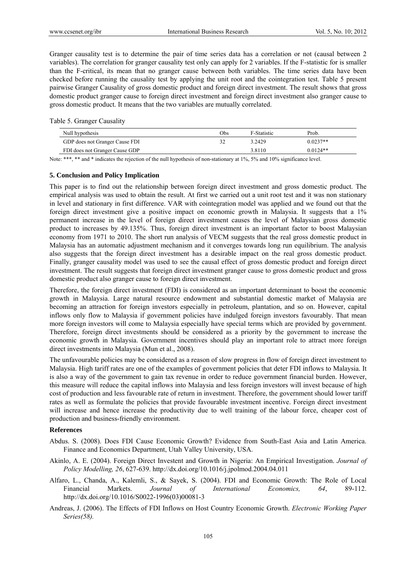Granger causality test is to determine the pair of time series data has a correlation or not (causal between 2 variables). The correlation for granger causality test only can apply for 2 variables. If the F-statistic for is smaller than the F-critical, its mean that no granger cause between both variables. The time series data have been checked before running the causality test by applying the unit root and the cointegration test. Table 5 present pairwise Granger Causality of gross domestic product and foreign direct investment. The result shows that gross domestic product granger cause to foreign direct investment and foreign direct investment also granger cause to gross domestic product. It means that the two variables are mutually correlated.

| Table 5. Granger Causality |  |
|----------------------------|--|
|----------------------------|--|

| Null hypothesis                | Obs | F-Statistic | Prob.      |
|--------------------------------|-----|-------------|------------|
| GDP does not Granger Cause FDI |     | 3.2429      | 0.0237**   |
| FDI does not Granger Cause GDP |     | 3.8110      | $0.0124**$ |

Note: \*\*\*, \*\* and \* indicates the rejection of the null hypothesis of non-stationary at 1%, 5% and 10% significance level.

### **5. Conclusion and Policy Implication**

This paper is to find out the relationship between foreign direct investment and gross domestic product. The empirical analysis was used to obtain the result. At first we carried out a unit root test and it was non stationary in level and stationary in first difference. VAR with cointegration model was applied and we found out that the foreign direct investment give a positive impact on economic growth in Malaysia. It suggests that a 1% permanent increase in the level of foreign direct investment causes the level of Malaysian gross domestic product to increases by 49.135%. Thus, foreign direct investment is an important factor to boost Malaysian economy from 1971 to 2010. The short run analysis of VECM suggests that the real gross domestic product in Malaysia has an automatic adjustment mechanism and it converges towards long run equilibrium. The analysis also suggests that the foreign direct investment has a desirable impact on the real gross domestic product. Finally, granger causality model was used to see the causal effect of gross domestic product and foreign direct investment. The result suggests that foreign direct investment granger cause to gross domestic product and gross domestic product also granger cause to foreign direct investment.

Therefore, the foreign direct investment (FDI) is considered as an important determinant to boost the economic growth in Malaysia. Large natural resource endowment and substantial domestic market of Malaysia are becoming an attraction for foreign investors especially in petroleum, plantation, and so on. However, capital inflows only flow to Malaysia if government policies have indulged foreign investors favourably. That mean more foreign investors will come to Malaysia especially have special terms which are provided by government. Therefore, foreign direct investments should be considered as a priority by the government to increase the economic growth in Malaysia. Government incentives should play an important role to attract more foreign direct investments into Malaysia (Mun et al., 2008).

The unfavourable policies may be considered as a reason of slow progress in flow of foreign direct investment to Malaysia. High tariff rates are one of the examples of government policies that deter FDI inflows to Malaysia. It is also a way of the government to gain tax revenue in order to reduce government financial burden. However, this measure will reduce the capital inflows into Malaysia and less foreign investors will invest because of high cost of production and less favourable rate of return in investment. Therefore, the government should lower tariff rates as well as formulate the policies that provide favourable investment incentive. Foreign direct investment will increase and hence increase the productivity due to well training of the labour force, cheaper cost of production and business-friendly environment.

#### **References**

- Abdus. S. (2008). Does FDI Cause Economic Growth? Evidence from South-East Asia and Latin America. Finance and Economics Department, Utah Valley University, USA.
- Akinlo, A. E. (2004). Foreign Direct Investent and Growth in Nigeria: An Empirical Investigation. *Journal of Policy Modelling, 26*, 627-639. http://dx.doi.org/10.1016/j.jpolmod.2004.04.011
- Alfaro, L., Chanda, A., Kalemli, S., & Sayek, S. (2004). FDI and Economic Growth: The Role of Local Financial Markets. *Journal of International Economics, 64*, 89-112. http://dx.doi.org/10.1016/S0022-1996(03)00081-3
- Andreas, J. (2006). The Effects of FDI Inflows on Host Country Economic Growth. *Electronic Working Paper Series(58).*